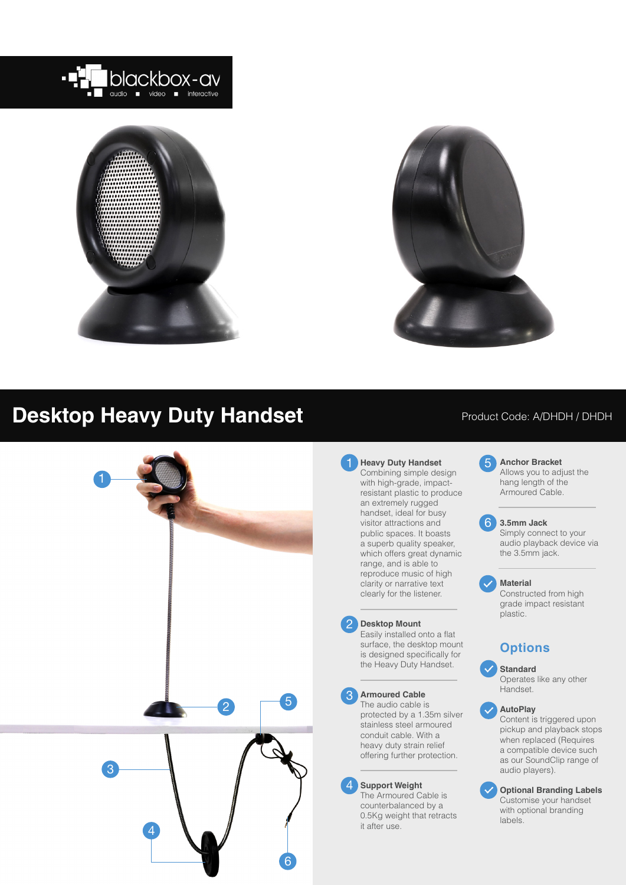





# **Desktop Heavy Duty Handset**



### Product Code: A/DHDH / DHDH

**Heavy Duty Handset** Combining simple design with high-grade, impactresistant plastic to produce an extremely rugged handset, ideal for busy visitor attractions and public spaces. It boasts a superb quality speaker, which offers great dynamic range, and is able to reproduce music of high clarity or narrative text clearly for the listener.

### **Desktop Mount**

2

Easily installed onto a flat surface, the desktop mount is designed specifically for the Heavy Duty Handset.

#### 3 **Armoured Cable**

The audio cable is protected by a 1.35m silver stainless steel armoured conduit cable. With a heavy duty strain relief offering further protection.

#### 4 **Support Weight**

The Armoured Cable is counterbalanced by a 0.5Kg weight that retracts it after use.

5 **Anchor Bracket** Allows you to adjust the hang length of the Armoured Cable.

#### 6 **3.5mm Jack**

Simply connect to your audio playback device via the 3.5mm jack.

#### **Material**

Constructed from high grade impact resistant plastic.

### **Options**

**Standard**

Operates like any other Handset.

#### **AutoPlay**

Content is triggered upon pickup and playback stops when replaced (Requires a compatible device such as our SoundClip range of audio players).

**Optional Branding Labels** Customise your handset with optional branding labels.